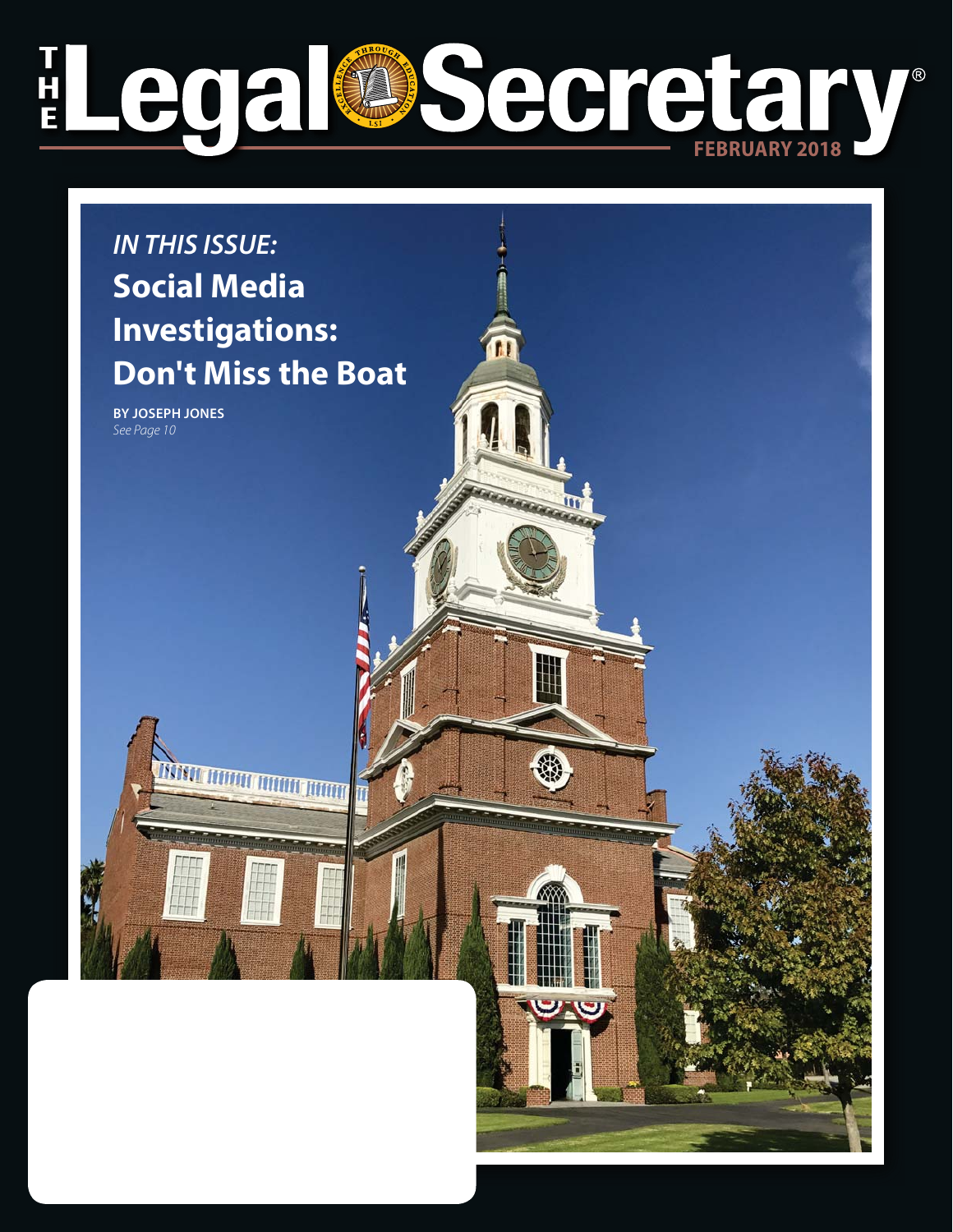## T<br>H<br>E Legal Secretary **7®**

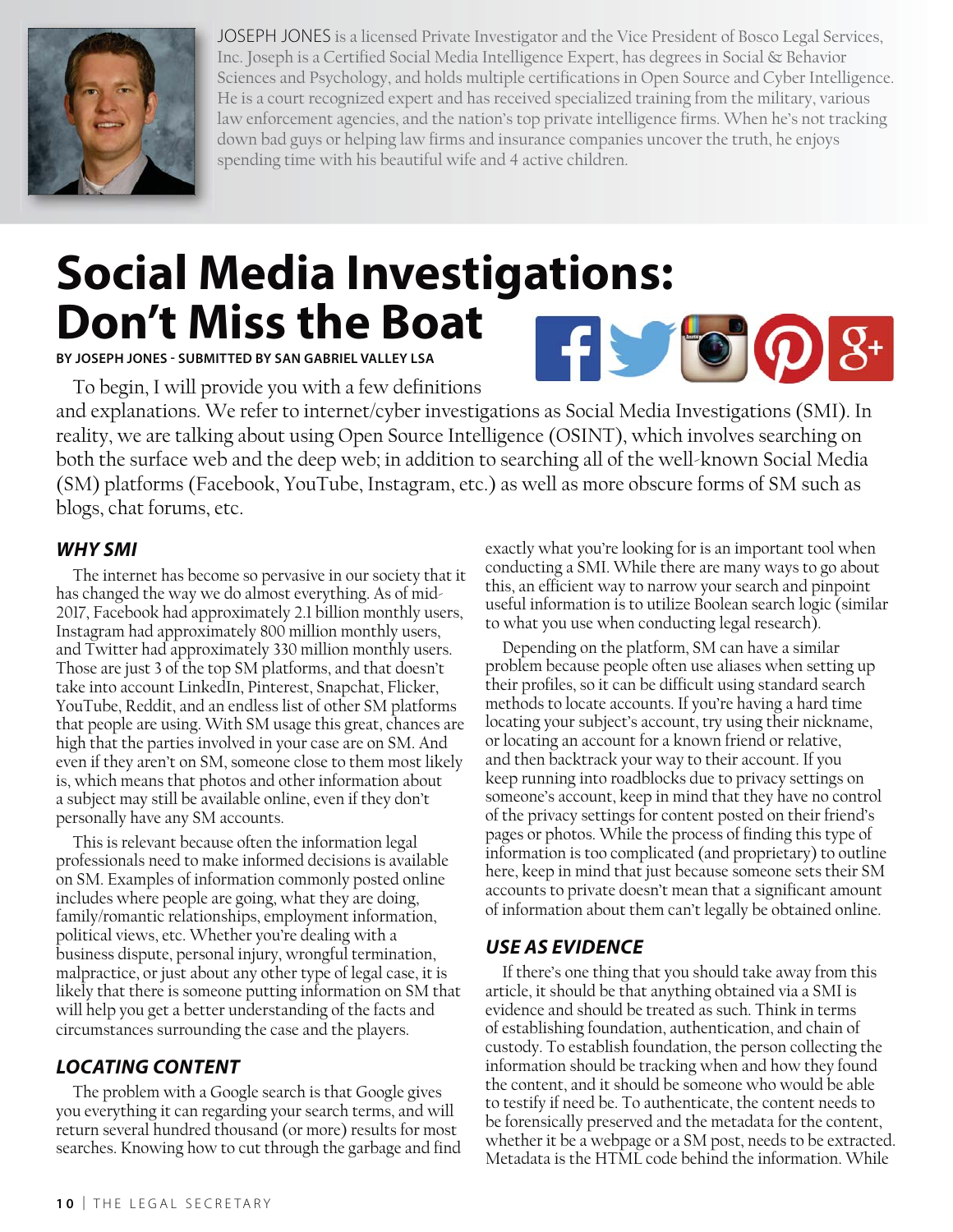

JOSEPH JONES is a licensed Private Investigator and the Vice President of Bosco Legal Services, Inc. Joseph is a Certified Social Media Intelligence Expert, has degrees in Social & Behavior Sciences and Psychology, and holds multiple certifications in Open Source and Cyber Intelligence. He is a court recognized expert and has received specialized training from the military, various law enforcement agencies, and the nation's top private intelligence firms. When he's not tracking down bad guys or helping law firms and insurance companies uncover the truth, he enjoys spending time with his beautiful wife and 4 active children.

# **Social Media Investigations: Don't Miss the Boat**  $\mathbf{F}$   $\bullet$   $\mathbf{O}$   $\mathbf{S}$   $\bullet$

**BY JOSEPH JONES - SUBMITTED BY SAN GABRIEL VALLEY LSA**

To begin, I will provide you with a few definitions

and explanations. We refer to internet/cyber investigations as Social Media Investigations (SMI). In reality, we are talking about using Open Source Intelligence (OSINT), which involves searching on both the surface web and the deep web; in addition to searching all of the well-known Social Media (SM) platforms (Facebook, YouTube, Instagram, etc.) as well as more obscure forms of SM such as blogs, chat forums, etc.

#### **WHY SMI**

The internet has become so pervasive in our society that it has changed the way we do almost everything. As of mid- 2017, Facebook had approximately 2.1 billion monthly users, Instagram had approximately 800 million monthly users, and Twitter had approximately 330 million monthly users. Those are just 3 of the top SM platforms, and that doesn't take into account LinkedIn, Pinterest, Snapchat, Flicker, YouTube, Reddit, and an endless list of other SM platforms that people are using. With SM usage this great, chances are high that the parties involved in your case are on SM. And even if they aren't on SM, someone close to them most likely is, which means that photos and other information about a subject may still be available online, even if they don't personally have any SM accounts.

This is relevant because often the information legal professionals need to make informed decisions is available on SM. Examples of information commonly posted online includes where people are going, what they are doing, family/romantic relationships, employment information, political views, etc. Whether you're dealing with a business dispute, personal injury, wrongful termination, malpractice, or just about any other type of legal case, it is likely that there is someone putting information on SM that will help you get a better understanding of the facts and circumstances surrounding the case and the players.

## **LOCATING CONTENT**

The problem with a Google search is that Google gives you everything it can regarding your search terms, and will return several hundred thousand (or more) results for most searches. Knowing how to cut through the garbage and find

exactly what you're looking for is an important tool when conducting a SMI. While there are many ways to go about this, an efficient way to narrow your search and pinpoint useful information is to utilize Boolean search logic (similar to what you use when conducting legal research).

Depending on the platform, SM can have a similar problem because people often use aliases when setting up their profiles, so it can be difficult using standard search methods to locate accounts. If you're having a hard time locating your subject's account, try using their nickname, or locating an account for a known friend or relative, and then backtrack your way to their account. If you keep running into roadblocks due to privacy settings on someone's account, keep in mind that they have no control of the privacy settings for content posted on their friend's pages or photos. While the process of finding this type of information is too complicated (and proprietary) to outline here, keep in mind that just because someone sets their SM accounts to private doesn't mean that a significant amount of information about them can't legally be obtained online.

## **USE AS EVIDENCE**

If there's one thing that you should take away from this article, it should be that anything obtained via a SMI is evidence and should be treated as such. Think in terms of establishing foundation, authentication, and chain of custody. To establish foundation, the person collecting the information should be tracking when and how they found the content, and it should be someone who would be able to testify if need be. To authenticate, the content needs to be forensically preserved and the metadata for the content, whether it be a webpage or a SM post, needs to be extracted. Metadata is the HTML code behind the information. While